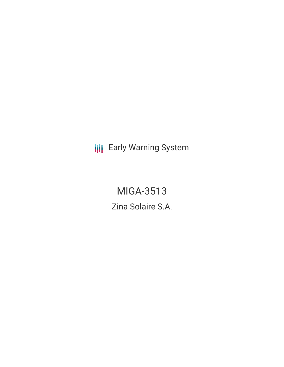**III** Early Warning System

MIGA-3513 Zina Solaire S.A.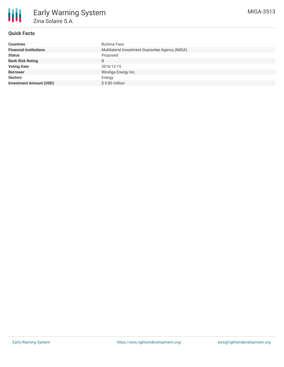

# **Quick Facts**

| <b>Countries</b>               | Burkina Faso                                    |
|--------------------------------|-------------------------------------------------|
| <b>Financial Institutions</b>  | Multilateral Investment Guarantee Agency (MIGA) |
| <b>Status</b>                  | Proposed                                        |
| <b>Bank Risk Rating</b>        | B                                               |
| <b>Voting Date</b>             | 2016-12-15                                      |
| <b>Borrower</b>                | Windiga Energy Inc.                             |
| <b>Sectors</b>                 | Energy                                          |
| <b>Investment Amount (USD)</b> | \$9.80 million                                  |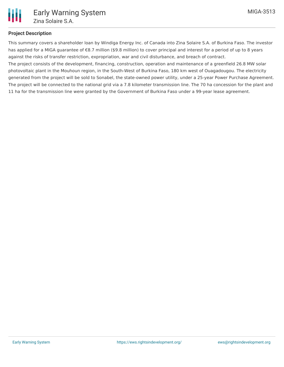### **Project Description**

This summary covers a shareholder loan by Windiga Energy Inc. of Canada into Zina Solaire S.A. of Burkina Faso. The investor has applied for a MIGA guarantee of €8.7 million (\$9.8 million) to cover principal and interest for a period of up to 8 years against the risks of transfer restriction, expropriation, war and civil disturbance, and breach of contract.

The project consists of the development, financing, construction, operation and maintenance of a greenfield 26.8 MW solar photovoltaic plant in the Mouhoun region, in the South-West of Burkina Faso, 180 km west of Ouagadougou. The electricity generated from the project will be sold to Sonabel, the state-owned power utility, under a 25-year Power Purchase Agreement. The project will be connected to the national grid via a 7.8 kilometer transmission line. The 70 ha concession for the plant and 11 ha for the transmission line were granted by the Government of Burkina Faso under a 99-year lease agreement.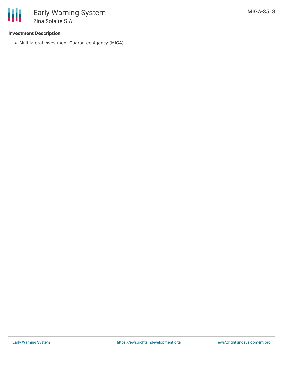

### **Investment Description**

Multilateral Investment Guarantee Agency (MIGA)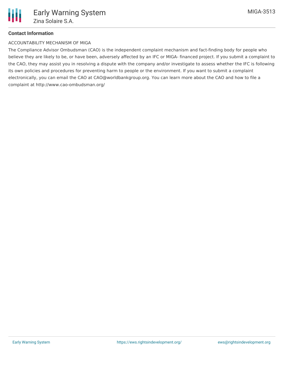# **Contact Information**

### ACCOUNTABILITY MECHANISM OF MIGA

The Compliance Advisor Ombudsman (CAO) is the independent complaint mechanism and fact-finding body for people who believe they are likely to be, or have been, adversely affected by an IFC or MIGA- financed project. If you submit a complaint to the CAO, they may assist you in resolving a dispute with the company and/or investigate to assess whether the IFC is following its own policies and procedures for preventing harm to people or the environment. If you want to submit a complaint electronically, you can email the CAO at CAO@worldbankgroup.org. You can learn more about the CAO and how to file a complaint at http://www.cao-ombudsman.org/